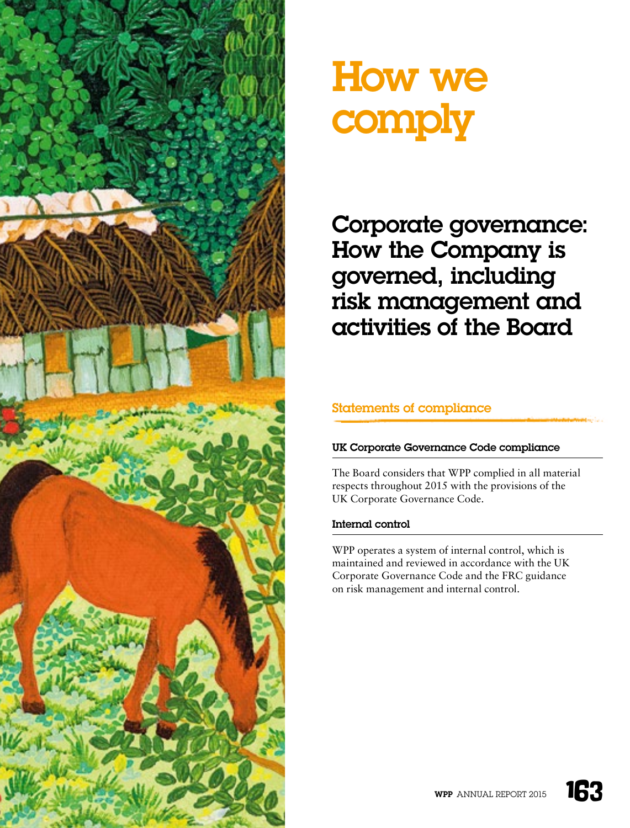

# How we comply

Corporate governance: How the Company is governed, including risk management and activities of the Board

# Statements of compliance

# UK Corporate Governance Code compliance

The Board considers that WPP complied in all material respects throughout 2015 with the provisions of the UK Corporate Governance Code.

# Internal control

WPP operates a system of internal control, which is maintained and reviewed in accordance with the UK Corporate Governance Code and the FRC guidance on risk management and internal control.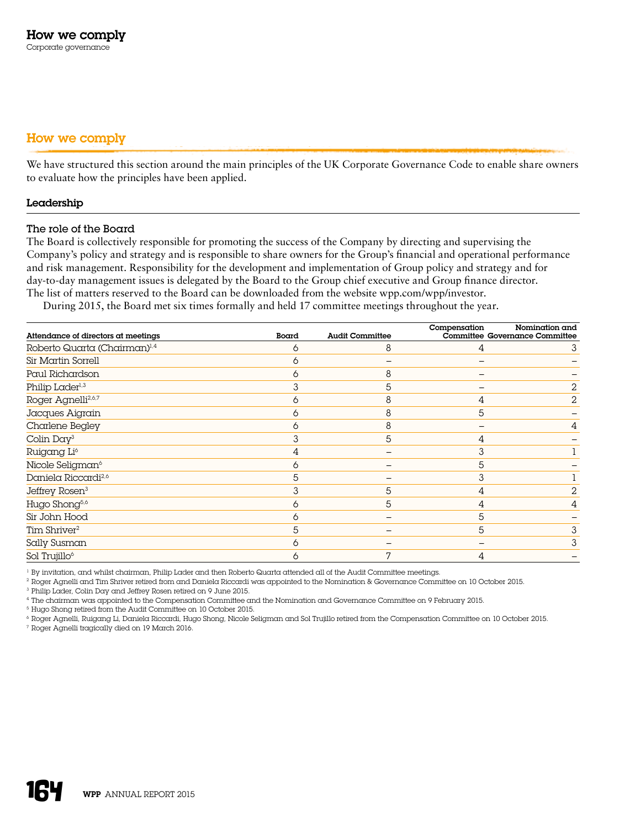# How we comply

We have structured this section around the main principles of the UK Corporate Governance Code to enable share owners to evaluate how the principles have been applied.

#### Leadership

#### The role of the Board

The Board is collectively responsible for promoting the success of the Company by directing and supervising the Company's policy and strategy and is responsible to share owners for the Group's financial and operational performance and risk management. Responsibility for the development and implementation of Group policy and strategy and for day-to-day management issues is delegated by the Board to the Group chief executive and Group finance director. The list of matters reserved to the Board can be downloaded from the website [wpp.com/wpp/investor.](http://www.wpp.com/wpp/investor)

During 2015, the Board met six times formally and held 17 committee meetings throughout the year.

| Attendance of directors at meetings      | Board | <b>Audit Committee</b> | Compensation | Nomination and<br>Committee Governance Committee |
|------------------------------------------|-------|------------------------|--------------|--------------------------------------------------|
| Roberto Quarta (Chairman) <sup>1,4</sup> | 6     | 8                      | 4            | 3                                                |
| Sir Martin Sorrell                       | 6     |                        |              |                                                  |
| Paul Richardson                          | 6     | 8                      |              |                                                  |
| Philip Lader <sup>1,3</sup>              | 3     | 5                      |              | 2                                                |
| Roger Agnelli <sup>2,6,7</sup>           | 6     | 8                      | 4            | 2                                                |
| Jacques Aigrain                          | 6     | 8                      | 5            |                                                  |
| Charlene Begley                          | 6     | 8                      |              | 4                                                |
| Colin Day <sup>3</sup>                   | 3     | 5                      | 4            |                                                  |
| Ruigang Li <sup>6</sup>                  | 4     |                        | 3            |                                                  |
| Nicole Seligman <sup>6</sup>             | 6     |                        | 5            |                                                  |
| Daniela Riccardi <sup>2,6</sup>          | 5     |                        | 3            |                                                  |
| Jeffrey Rosen <sup>3</sup>               | 3     | 5                      | 4            | 2                                                |
| Hugo Shong <sup>5,6</sup>                | 6     | 5                      | 4            | 4                                                |
| Sir John Hood                            | 6     |                        | 5            |                                                  |
| Tim Shriver <sup>2</sup>                 | 5     |                        | 5            | 3                                                |
| Sally Susman                             | 6     |                        |              | 3                                                |
| Sol Trujillo <sup>6</sup>                | 6     | 7                      | 4            |                                                  |

<sup>1</sup> By invitation, and whilst chairman, Philip Lader and then Roberto Quarta attended all of the Audit Committee meetings.

<sup>2</sup> Roger Agnelli and Tim Shriver retired from and Daniela Riccardi was appointed to the Nomination & Governance Committee on 10 October 2015.

<sup>3</sup> Philip Lader, Colin Day and Jeffrey Rosen retired on 9 June 2015.

<sup>4</sup> The chairman was appointed to the Compensation Committee and the Nomination and Governance Committee on 9 February 2015.

<sup>5</sup> Hugo Shong retired from the Audit Committee on 10 October 2015.

6 Roger Agnelli, Ruigang Li, Daniela Riccardi, Hugo Shong, Nicole Seligman and Sol Trujillo retired from the Compensation Committee on 10 October 2015. <sup>7</sup> Roger Agnelli tragically died on 19 March 2016.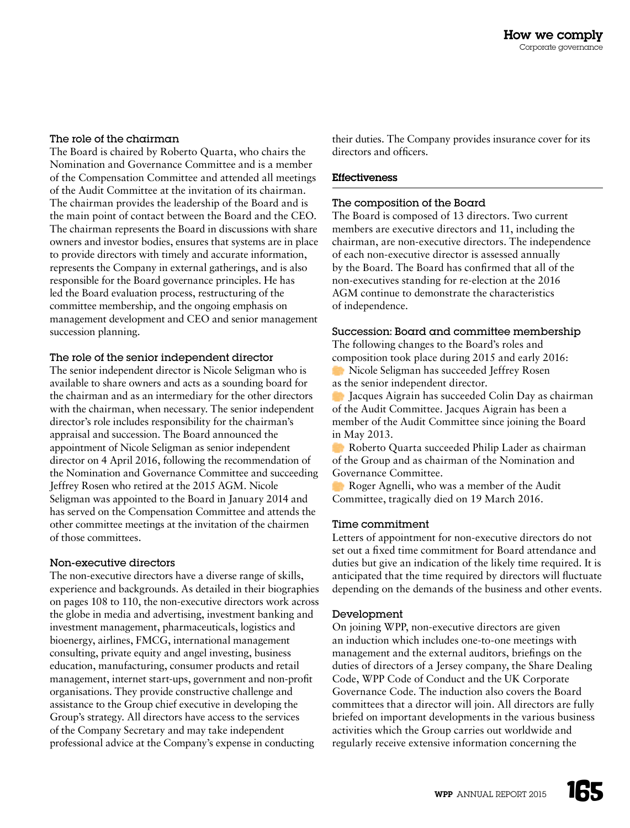#### The role of the chairman

The Board is chaired by Roberto Quarta, who chairs the Nomination and Governance Committee and is a member of the Compensation Committee and attended all meetings of the Audit Committee at the invitation of its chairman. The chairman provides the leadership of the Board and is the main point of contact between the Board and the CEO. The chairman represents the Board in discussions with share owners and investor bodies, ensures that systems are in place to provide directors with timely and accurate information, represents the Company in external gatherings, and is also responsible for the Board governance principles. He has led the Board evaluation process, restructuring of the committee membership, and the ongoing emphasis on management development and CEO and senior management succession planning.

# The role of the senior independent director

The senior independent director is Nicole Seligman who is available to share owners and acts as a sounding board for the chairman and as an intermediary for the other directors with the chairman, when necessary. The senior independent director's role includes responsibility for the chairman's appraisal and succession. The Board announced the appointment of Nicole Seligman as senior independent director on 4 April 2016, following the recommendation of the Nomination and Governance Committee and succeeding Jeffrey Rosen who retired at the 2015 AGM. Nicole Seligman was appointed to the Board in January 2014 and has served on the Compensation Committee and attends the other committee meetings at the invitation of the chairmen of those committees.

# Non-executive directors

The non-executive directors have a diverse range of skills, experience and backgrounds. As detailed in their biographies on pages 108 to 110, the non-executive directors work across the globe in media and advertising, investment banking and investment management, pharmaceuticals, logistics and bioenergy, airlines, FMCG, international management consulting, private equity and angel investing, business education, manufacturing, consumer products and retail management, internet start-ups, government and non-profit organisations. They provide constructive challenge and assistance to the Group chief executive in developing the Group's strategy. All directors have access to the services of the Company Secretary and may take independent professional advice at the Company's expense in conducting

their duties. The Company provides insurance cover for its directors and officers.

#### Effectiveness

#### The composition of the Board

The Board is composed of 13 directors. Two current members are executive directors and 11, including the chairman, are non-executive directors. The independence of each non-executive director is assessed annually by the Board. The Board has confirmed that all of the non-executives standing for re-election at the 2016 AGM continue to demonstrate the characteristics of independence.

# Succession: Board and committee membership

The following changes to the Board's roles and composition took place during 2015 and early 2016:

Nicole Seligman has succeeded Jeffrey Rosen as the senior independent director.

Jacques Aigrain has succeeded Colin Day as chairman of the Audit Committee. Jacques Aigrain has been a member of the Audit Committee since joining the Board in May 2013.

Roberto Quarta succeeded Philip Lader as chairman of the Group and as chairman of the Nomination and Governance Committee.

Roger Agnelli, who was a member of the Audit Committee, tragically died on 19 March 2016.

#### Time commitment

Letters of appointment for non-executive directors do not set out a fixed time commitment for Board attendance and duties but give an indication of the likely time required. It is anticipated that the time required by directors will fluctuate depending on the demands of the business and other events.

# Development

On joining WPP, non-executive directors are given an induction which includes one-to-one meetings with management and the external auditors, briefings on the duties of directors of a Jersey company, the Share Dealing Code, WPP Code of Conduct and the UK Corporate Governance Code. The induction also covers the Board committees that a director will join. All directors are fully briefed on important developments in the various business activities which the Group carries out worldwide and regularly receive extensive information concerning the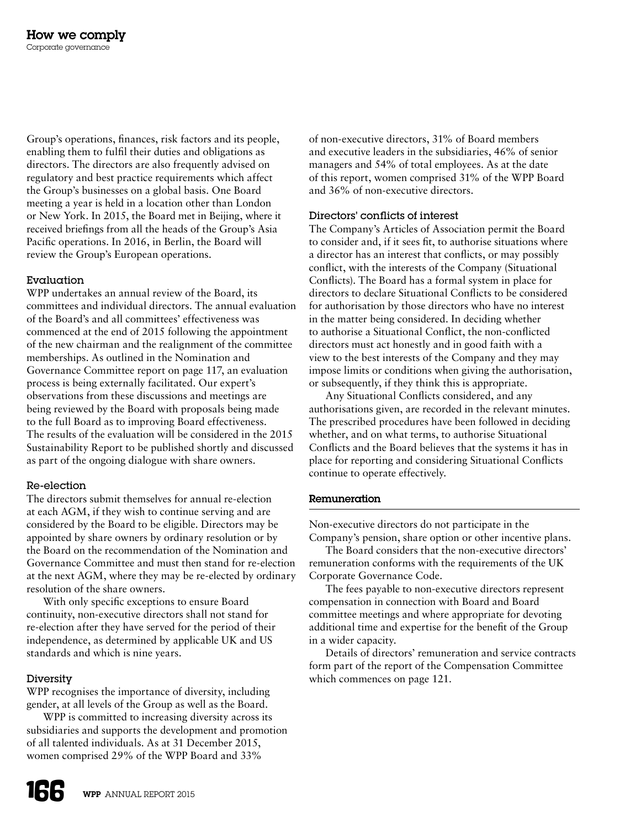Group's operations, finances, risk factors and its people, enabling them to fulfil their duties and obligations as directors. The directors are also frequently advised on regulatory and best practice requirements which affect the Group's businesses on a global basis. One Board meeting a year is held in a location other than London or New York. In 2015, the Board met in Beijing, where it received briefings from all the heads of the Group's Asia Pacific operations. In 2016, in Berlin, the Board will review the Group's European operations.

# Evaluation

WPP undertakes an annual review of the Board, its committees and individual directors. The annual evaluation of the Board's and all committees' effectiveness was commenced at the end of 2015 following the appointment of the new chairman and the realignment of the committee memberships. As outlined in the Nomination and Governance Committee report on page 117, an evaluation process is being externally facilitated. Our expert's observations from these discussions and meetings are being reviewed by the Board with proposals being made to the full Board as to improving Board effectiveness. The results of the evaluation will be considered in the 2015 Sustainability Report to be published shortly and discussed as part of the ongoing dialogue with share owners.

# Re-election

The directors submit themselves for annual re-election at each AGM, if they wish to continue serving and are considered by the Board to be eligible. Directors may be appointed by share owners by ordinary resolution or by the Board on the recommendation of the Nomination and Governance Committee and must then stand for re-election at the next AGM, where they may be re-elected by ordinary resolution of the share owners.

With only specific exceptions to ensure Board continuity, non-executive directors shall not stand for re-election after they have served for the period of their independence, as determined by applicable UK and US standards and which is nine years.

# Diversity

WPP recognises the importance of diversity, including gender, at all levels of the Group as well as the Board.

WPP is committed to increasing diversity across its subsidiaries and supports the development and promotion of all talented individuals. As at 31 December 2015, women comprised 29% of the WPP Board and 33%

of non-executive directors, 31% of Board members and executive leaders in the subsidiaries, 46% of senior managers and 54% of total employees. As at the date of this report, women comprised 31% of the WPP Board and 36% of non-executive directors.

# Directors' conflicts of interest

The Company's Articles of Association permit the Board to consider and, if it sees fit, to authorise situations where a director has an interest that conflicts, or may possibly conflict, with the interests of the Company (Situational Conflicts). The Board has a formal system in place for directors to declare Situational Conflicts to be considered for authorisation by those directors who have no interest in the matter being considered. In deciding whether to authorise a Situational Conflict, the non-conflicted directors must act honestly and in good faith with a view to the best interests of the Company and they may impose limits or conditions when giving the authorisation, or subsequently, if they think this is appropriate.

Any Situational Conflicts considered, and any authorisations given, are recorded in the relevant minutes. The prescribed procedures have been followed in deciding whether, and on what terms, to authorise Situational Conflicts and the Board believes that the systems it has in place for reporting and considering Situational Conflicts continue to operate effectively.

# Remuneration

Non-executive directors do not participate in the Company's pension, share option or other incentive plans.

The Board considers that the non-executive directors' remuneration conforms with the requirements of the UK Corporate Governance Code.

The fees payable to non-executive directors represent compensation in connection with Board and Board committee meetings and where appropriate for devoting additional time and expertise for the benefit of the Group in a wider capacity.

Details of directors' remuneration and service contracts form part of the report of the Compensation Committee which commences on page 121.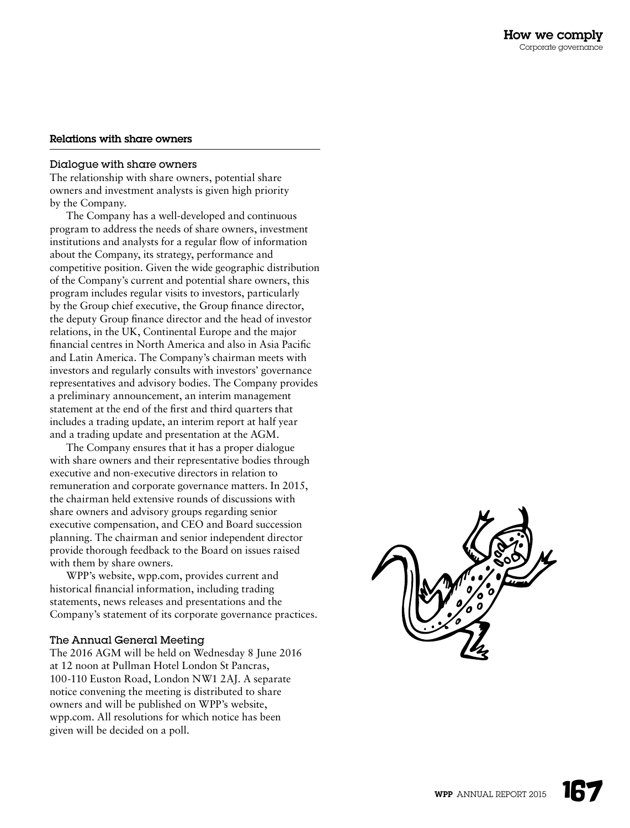#### Relations with share owners

#### Dialogue with share owners

The relationship with share owners, potential share owners and investment analysts is given high priority by the Company.

The Company has a well-developed and continuous program to address the needs of share owners, investment institutions and analysts for a regular flow of information about the Company, its strategy, performance and competitive position. Given the wide geographic distribution of the Company's current and potential share owners, this program includes regular visits to investors, particularly by the Group chief executive, the Group finance director, the deputy Group finance director and the head of investor relations, in the UK, Continental Europe and the major financial centres in North America and also in Asia Pacific and Latin America. The Company's chairman meets with investors and regularly consults with investors' governance representatives and advisory bodies. The Company provides a preliminary announcement, an interim management statement at the end of the first and third quarters that includes a trading update, an interim report at half year and a trading update and presentation at the AGM.

The Company ensures that it has a proper dialogue with share owners and their representative bodies through executive and non-executive directors in relation to remuneration and corporate governance matters. In 2015, the chairman held extensive rounds of discussions with share owners and advisory groups regarding senior executive compensation, and CEO and Board succession planning. The chairman and senior independent director provide thorough feedback to the Board on issues raised with them by share owners.

WPP's website, [wpp.com,](http://www.wpp.com) provides current and historical financial information, including trading statements, news releases and presentations and the Company's statement of its corporate governance practices.

#### The Annual General Meeting

The 2016 AGM will be held on Wednesday 8 June 2016 at 12 noon at Pullman Hotel London St Pancras, 100-110 Euston Road, London NW1 2AJ. A separate notice convening the meeting is distributed to share owners and will be published on WPP's website, [wpp.com](http://www.wpp.com). All resolutions for which notice has been given will be decided on a poll.

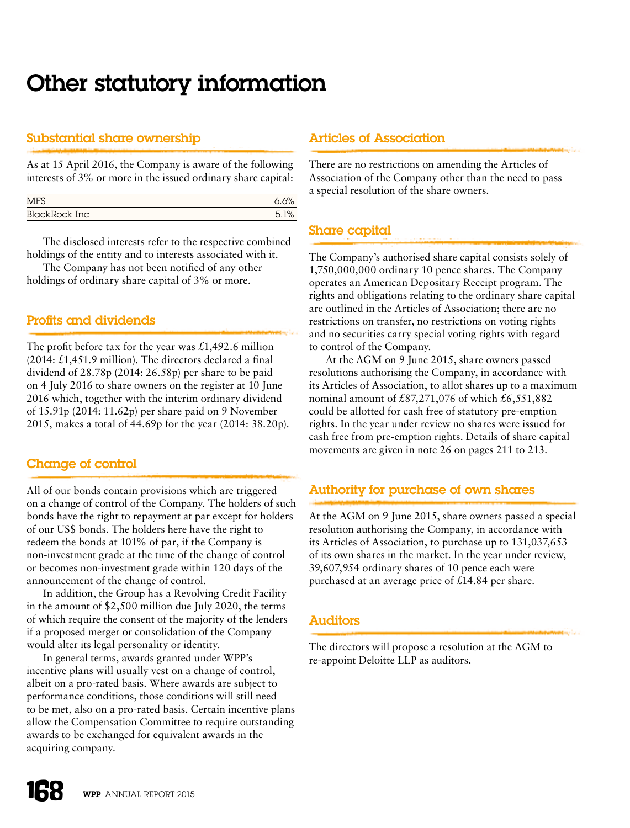# Other statutory information

# Substantial share ownership

As at 15 April 2016, the Company is aware of the following interests of 3% or more in the issued ordinary share capital:

| <b>MFS</b>    |  |
|---------------|--|
| BlackRock Inc |  |

The disclosed interests refer to the respective combined holdings of the entity and to interests associated with it.

The Company has not been notified of any other holdings of ordinary share capital of 3% or more.

# Profits and dividends

The profit before tax for the year was  $\pounds$ 1,492.6 million (2014: £1,451.9 million). The directors declared a final dividend of 28.78p (2014: 26.58p) per share to be paid on 4 July 2016 to share owners on the register at 10 June 2016 which, together with the interim ordinary dividend of 15.91p (2014: 11.62p) per share paid on 9 November 2015, makes a total of 44.69p for the year (2014: 38.20p).

# Change of control

All of our bonds contain provisions which are triggered on a change of control of the Company. The holders of such bonds have the right to repayment at par except for holders of our US\$ bonds. The holders here have the right to redeem the bonds at 101% of par, if the Company is non-investment grade at the time of the change of control or becomes non-investment grade within 120 days of the announcement of the change of control.

In addition, the Group has a Revolving Credit Facility in the amount of \$2,500 million due July 2020, the terms of which require the consent of the majority of the lenders if a proposed merger or consolidation of the Company would alter its legal personality or identity.

In general terms, awards granted under WPP's incentive plans will usually vest on a change of control, albeit on a pro-rated basis. Where awards are subject to performance conditions, those conditions will still need to be met, also on a pro-rated basis. Certain incentive plans allow the Compensation Committee to require outstanding awards to be exchanged for equivalent awards in the acquiring company.

# Articles of Association

There are no restrictions on amending the Articles of Association of the Company other than the need to pass a special resolution of the share owners.

# Share capital

The Company's authorised share capital consists solely of 1,750,000,000 ordinary 10 pence shares. The Company operates an American Depositary Receipt program. The rights and obligations relating to the ordinary share capital are outlined in the Articles of Association; there are no restrictions on transfer, no restrictions on voting rights and no securities carry special voting rights with regard to control of the Company.

At the AGM on 9 June 2015, share owners passed resolutions authorising the Company, in accordance with its Articles of Association, to allot shares up to a maximum nominal amount of  $£87,271,076$  of which  $£6,551,882$ could be allotted for cash free of statutory pre-emption rights. In the year under review no shares were issued for cash free from pre-emption rights. Details of share capital movements are given in note 26 on pages 211 to 213.

# Authority for purchase of own shares

At the AGM on 9 June 2015, share owners passed a special resolution authorising the Company, in accordance with its Articles of Association, to purchase up to 131,037,653 of its own shares in the market. In the year under review, 39,607,954 ordinary shares of 10 pence each were purchased at an average price of £14.84 per share.

# **Auditors**

The directors will propose a resolution at the AGM to re-appoint Deloitte LLP as auditors.